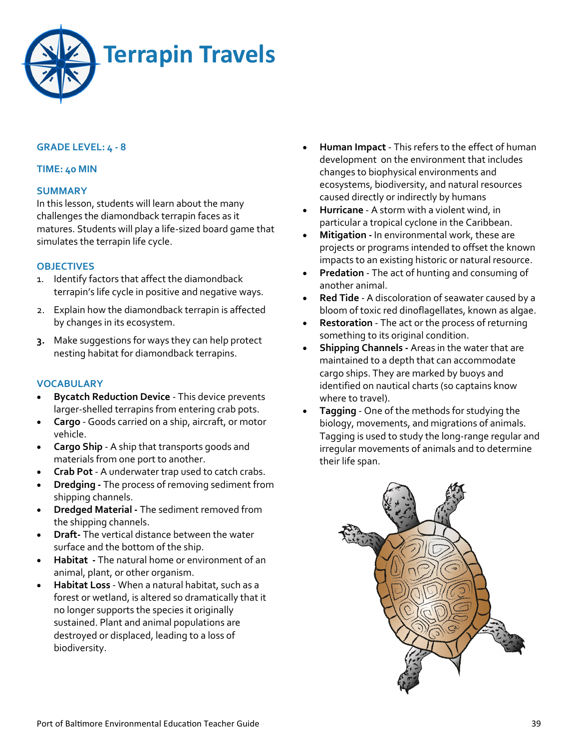

## **GRADE LEVEL: 4 - 8**

#### **TIME: 40 MIN**

#### **SUMMARY**

In this lesson, students will learn about the many challenges the diamondback terrapin faces as it matures. Students will play a life-sized board game that simulates the terrapin life cycle.

#### **OBJECTIVES**

- 1. Identify factors that affect the diamondback terrapin's life cycle in positive and negative ways.
- 2. Explain how the diamondback terrapin is affected by changes in its ecosystem.
- **3.** Make suggestions for ways they can help protect nesting habitat for diamondback terrapins.

#### **VOCABULARY**

- **Bycatch Reduction Device This device prevents** larger-shelled terrapins from entering crab pots.
- **Cargo**  Goods carried on a ship, aircraft, or motor vehicle.
- **Cargo Ship**  A ship that transports goods and materials from one port to another.
- **Crab Pot**  A underwater trap used to catch crabs.
- **Dredging -** The process of removing sediment from shipping channels.
- **Dredged Material -** The sediment removed from the shipping channels.
- **Draft-** The vertical distance between the water surface and the bottom of the ship.
- **Habitat -** The natural home or environment of an animal, plant, or other organism.
- **Habitat Loss** When a natural habitat, such as a forest or wetland, is altered so dramatically that it no longer supports the species it originally sustained. Plant and animal populations are destroyed or displaced, leading to a loss of biodiversity.
- **Human Impact**  This refers to the effect of human development on the environment that includes changes to biophysical environments and ecosystems, biodiversity, and natural resources caused directly or indirectly by humans
- **Hurricane**  A storm with a violent wind, in particular a tropical cyclone in the Caribbean.
- **Mitigation -** In environmental work, these are projects or programs intended to offset the known impacts to an existing historic or natural resource.
- **Predation**  The act of hunting and consuming of another animal.
- **Red Tide**  A discoloration of seawater caused by a bloom of toxic red dinoflagellates, known as algae.
- **Restoration**  The act or the process of returning something to its original condition.
- **Shipping Channels -** Areas in the water that are maintained to a depth that can accommodate cargo ships. They are marked by buoys and identified on nautical charts (so captains know where to travel).
- **Tagging**  One of the methods for studying the biology, movements, and migrations of animals. Tagging is used to study the long-range regular and irregular movements of animals and to determine their life span.

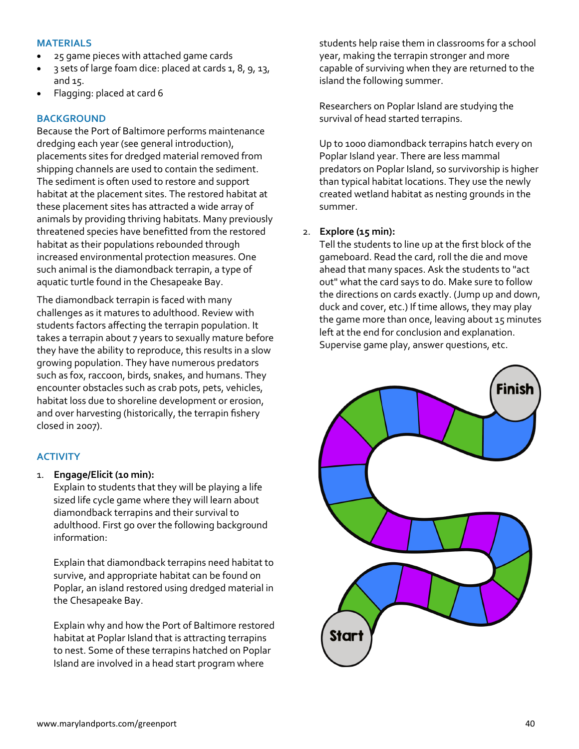### **MATERIALS**

- 25 game pieces with attached game cards
- 3 sets of large foam dice: placed at cards 1, 8, 9, 13, and 15.
- Flagging: placed at card 6

## **BACKGROUND**

Because the Port of Baltimore performs maintenance dredging each year (see general introduction), placements sites for dredged material removed from shipping channels are used to contain the sediment. The sediment is often used to restore and support habitat at the placement sites. The restored habitat at these placement sites has attracted a wide array of animals by providing thriving habitats. Many previously threatened species have benefitted from the restored habitat as their populations rebounded through increased environmental protection measures. One such animal is the diamondback terrapin, a type of aquatic turtle found in the Chesapeake Bay.

The diamondback terrapin is faced with many challenges as it matures to adulthood. Review with students factors affecting the terrapin population. It takes a terrapin about 7 years to sexually mature before they have the ability to reproduce, this results in a slow growing population. They have numerous predators such as fox, raccoon, birds, snakes, and humans. They encounter obstacles such as crab pots, pets, vehicles, habitat loss due to shoreline development or erosion, and over harvesting (historically, the terrapin fishery closed in 2007).

## **ACTIVITY**

1. **Engage/Elicit (10 min):** 

Explain to students that they will be playing a life sized life cycle game where they will learn about diamondback terrapins and their survival to adulthood. First go over the following background information:

Explain that diamondback terrapins need habitat to survive, and appropriate habitat can be found on Poplar, an island restored using dredged material in the Chesapeake Bay.

Explain why and how the Port of Baltimore restored habitat at Poplar Island that is attracting terrapins to nest. Some of these terrapins hatched on Poplar Island are involved in a head start program where

students help raise them in classrooms for a school year, making the terrapin stronger and more capable of surviving when they are returned to the island the following summer.

Researchers on Poplar Island are studying the survival of head started terrapins.

Up to 1000 diamondback terrapins hatch every on Poplar Island year. There are less mammal predators on Poplar Island, so survivorship is higher than typical habitat locations. They use the newly created wetland habitat as nesting grounds in the summer.

### 2. **Explore (15 min):**

Tell the students to line up at the first block of the gameboard. Read the card, roll the die and move ahead that many spaces. Ask the students to "act out" what the card says to do. Make sure to follow the directions on cards exactly. (Jump up and down, duck and cover, etc.) If time allows, they may play the game more than once, leaving about 15 minutes left at the end for conclusion and explanation. Supervise game play, answer questions, etc.